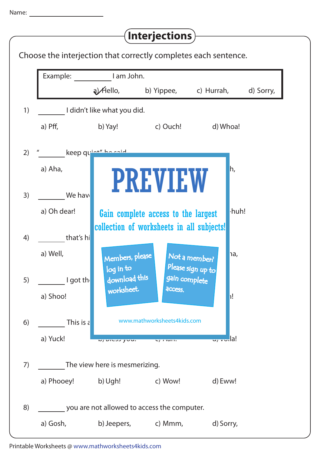